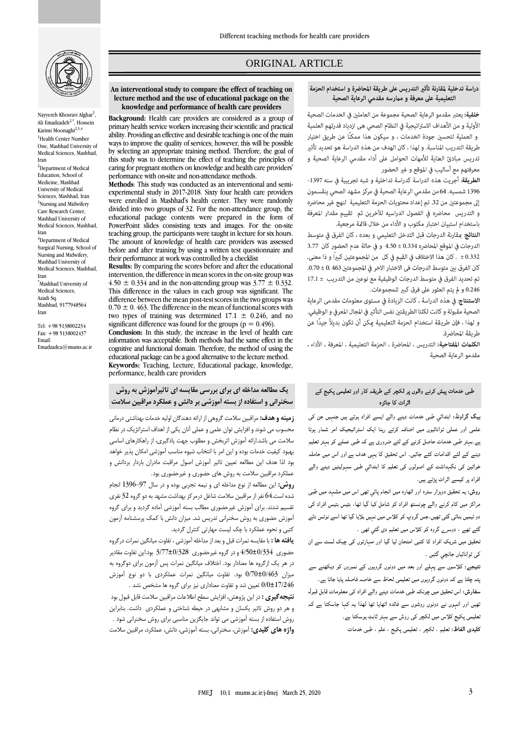

Nayyereh Khosravi Alghar<sup>1</sup>, Ali Emadzadeh<sup>2,\*</sup>, Hossein Karimi Moonaghi<br/> $^{2,3,4}$ <sup>1</sup>Health Center Number One, Mashhad University of Medical Sciences, Mashhad, Iran <sup>2</sup>Department of Medical Education, School of Medicine, Mashhad University of Medical Sciences, Mashhad, Iran <sup>3</sup>Nursing and Midwifery Care Research Center, Mashhad University of Medical Sciences, Mashhad, Iran <sup>4</sup>Department of Medical Surgical Nursing, School of Nursing and Midwifery, Mashhad University of Medical Sciences, Mashhad, Iran \*Mashhad University of Medical Sciences, Azadi Sq. Mashhad, 9177948564 Iran

Tel: +98 5138002234 Fax: +98 5138002437 Email: Emadzadea@mums.ac.ir

# ORIGINAL ARTICLE

#### **An interventional study to compare the effect of teaching on lecture method and the use of educational package on the knowledge and performance of health care providers**

**Background:** Health care providers are considered as a group of primary health service workers increasing their scientific and practical ability. Providing an effective and desirable teaching is one of the main ways to improve the quality of services; however, this will be possible by selecting an appropriate training method. Therefore, the goal of this study was to determine the effect of teaching the principles of caring for pregnant mothers on knowledge and health care providers' performance with on-site and non-attendance methods.

**Methods**: This study was conducted as an interventional and semiexperimental study in 2017-2018. Sixty four health care providers were enrolled in Mashhad's health center. They were randomly divided into two groups of 32. For the non-attendance group, the educational package contents were prepared in the form of PowerPoint slides consisting texts and images. For the on-site teaching group, the participants were taught in lecture for six hours. The amount of knowledge of health care providers was assessed before and after training by using a written test questionnaire and their performance at work was controlled by a checklist

**Results:** By comparing the scores before and after the educational intervention, the difference in mean scores in the on-site group was 4.50  $\pm$  0.334 and in the non-attending group was 3.77  $\pm$  0.332. This difference in the values in each group was significant. The difference between the mean post-test scores in the two groups was  $0.70 \pm 0.463$ . The difference in the mean of functional scores with two types of training was determined  $17.1 \pm 0.246$ , and no significant difference was found for the groups ( $p = 0.496$ ). **Conclusion:** In this study, the increase in the level of health care information was acceptable. Both methods had the same effect in the cognitive and functional domain. Therefore, the method of using the educational package can be a good alternative to the lecture method. **Keywords:** Teaching, Lecture, Educational package, knowledge,

performance, health care providers

# **یک مطالعه مداخله اي براي بررسی مقایسه اي تاثیرآموزش به روش سخنرانی و استفاده از بسته آموزشی بر دانش و عملکرد مراقبین سالمت**

**زمینه و هدف:** مراقبین سالمت گروهی از ارائه دهندگان اولیه خدمات بهداشتی درمانی محسوب می شوند و افزایش توان علمی و عملی آنان یکی از اهداف استراتژیک در نظام سالمت می باشد.ارائه آموزش اثربخش و مطلوب جهت یادگیری، از راهکارهای اساسی بهبود کیفیت خدمات بوده و این امر با انتخاب شیوه مناسب آموزشی امکان پذیر خواهد بود لذا هدف این مطالعه تعیین تاثیر آموزش اصول مراقبت مادران باردار بردانش و عملکرد مراقبین سالمت به روش های حضوری و غیرحضوری بود.

**روش:** این مطالعه از نوع مداخله ای و نیمه تجربی بوده و در سال 1396-97 انجام شده است64. نفر از مراقبین سالمت شاغل درمرکز بهداشت مشهد به دو گروه 32 نفری تقسیم شدند. برای آموزش غیرحضوری مطالب بسته آموزشی آماده گردید و برای گروه آموزش حضوری به روش سخنرانی تدریس شد. میزان دانش با کمک پرسشنامه آزمون کتبی و نحوه عملکرد با چک لیست مهارتی کنترل گردید.

**یافته ها :** با مقایسه نمرات قبل و بعد از مداخله آموزشی ، تفاوت میانگین نمرات درگروه حضوری 4/50±0/334 و در گروه غیرحضوری 3/77±0/328 بود.این تفاوت مقادیر در هر یک ازگروه ها معنادار بود. اختالف میانگین نمرات پس آزمون برای دوگروه به میزان 0/70±0/463 بود. تفاوت میانگین نمرات عملکردی با دو نوع آموزش 0/0±17/246 تعیین شد و تفاوت معناداری نیز برای گروه ها مشخص نشد .

**نتیجهگیري :** در این پژوهش، افزایش سطح اطالعات مراقبین سالمت قابل قبول بود و هر دو روش تاثیر یکسان و مشابهی در حیطه شناختی و عملکردی داشت. بنابراین روش استفاده از بسته آموزشی می تواند جایگزین مناسبی برای روش سخنرانی شود . **واژه هاي كلیدي:** آموزش، سخنرانی، بسته آموزشی، دانش، عملکرد، مراقبین سالمت

#### دراسة تدخلية لمقارنة تأثير التدريس على طريقة المحاضرة و استخدام الحزمة التعليمية على معرفة و ممارسه مقدمي الرعاية الصحية

ص

خلفية: يعتبر مقدمو الرعاية الصحية مجموعة من العاملين فى الخدمات الصحية الأولية و من الأهداف الاستراتيجية في النظام الصحي هي ازدياد قدرتهم العلمية و العملية لتحسين جودة الخدمات ، و سيكون هذا ممكنًا عن طريق اختيار طريقة التدريب المناسبة. و لهذا ، كان الهدف من هذه الدراسة هو تحديد تأثير تدريس مبادئ العناية للأمهات الحوامل على أداء مقدمي الرعاية الصحية و معرفتهم مع أساليب في الموقع و غير الحضور

الطريقة: أجريت هذه الدراسة كدراسة تداخلية و شبه تجريبية في سنه 1397-1396 شمسيه. 64 من مقدمى الرعاية الصحية في مركز مشهد الصحى ينقسمون إلى مجموعتين من 32. تم إعداد محتويات الحزمة التعليمية لنهج غير محاضره و التدريس محاضره في الفصول الدراسيه للآخرين ثم تقييم مقدار المعرفة باستخدام استبيان اختبار مكتوب و الأداء من خلال قائمة مرجعية.

**النتائج**: مقارنة الدرجات قبل التدخل التعليمي و بعده ، كان الفرق في متوسط الدرجات في الموقع المحاضره 0.334 ± 4.50 و في حالة عدم الحضور كان 3.77 0.332 £ . كان هذا الاختلاف في القيم في كل من المجموعتين كبيراً و ذا معنى. كان الفرق بين متوسط الدرجات في الاختبار الاخر في المجموعتين 0.30 ± 0.70. تم تحديد الفرق في متوسط الدرجات الوظيفية مع نوعين من التدريب ± 17.1 0.246 و لم يتم العثور على فرق كبير للمجموعات.

الاستنتاج: في هذه الدراسة ، كانت الزيادة في مستوى معلومات مقدمى الرعاية الصحية مقبولة و كانت لكلتا الطريقتن نفس التأثر في المجال المعرفي و الوظيفي. و لهذا ، فإن طريقة استخدام الحزمة التعليمية عكن أن تكون بديلاً جيدًا عن طريقة المحاضرة.

الكلمات المفتاحية: التدريس ، المحاضرة ، الحزمة التعليمية ، المعرفة ، الأداء ، مقدمو الرعاية الصحية

## طبی خدمات پیش کرنے والوں پر لکچر کے طریقہ کار اور تعلیمی پکیج کے اثر ات کا جائز ہ

بیگ گراونڈ: ابتدائی طبی خدمات دینے والے ایسے افراد ہوتے ہیں جنہیں جن کی علمی اور عملی توانائیوں میں اضافہ کرتے رہنا ایک اسٹراٹیجیک امر شمار ہوتا ہے۔بہتر طبی خدمات حاصل کرنے کے لئے ضروری ہے کہ طبی عملے کو بہتر تعلیم دینے کے لئے اقدامات کئے جائیں۔ اس تحقیق کا یہی ہدف ہے اور اس میں حاملہ خواتین کی نگہداشت کے اصولوں کی تعلیم کا ابتدائی طبی سہولیتیں دینے والے افراد پر کیسے اثرات پڑتے ہیں۔

روش: یہ تحقیق دوہزار سترہ اور اٹھارہ میں انجام پائی تھی اس میں مشہد میں طبی مراکز میں کام کرنے والے چونسٹھ افراد کو شامل کیا گیا تھا، بتیس بتیس افراد کی دو ٹیمیں بنائی گئی تھیں۔جس گروپ کو کلاس میں نہیں بلایا گیا تھا اسے نوٹس دئے گئے تھے ، دوسرے گروہ کو کلاس میں تعلیم دی گئی تھی ۔

تحقیق میں شریک افراد کا کتبی امتحان لیا گیا اور مہارتوں کی چیک لسٹ سے ان کې توانائياں جانچي گئيں ۔

نتیجے: کلاسوں سے پہلے اور بعد میں دونوں گروہوں کے نمبروں کو دیکھنے سے یتہ چلتا ہے کہ دونوں گروہوں میں تعلیمی لحاظ سے خاصہ فاصلہ پایا جاتا ہے۔ مفارش: اس تحقیق میں چونکہ طبی خدمات دینے والے افراد کی معلومات قابل قبول تھیں اور انہوں نے دونوں روشوں سے فائدہ اٹھایا تھا لھذا یہ کہا جاسکتا ہے کہ تعلیمی پکیج کلاس میں لکچر کی روش سے بہتر ثابت ہوسکتا ہے۔ كليدي الفاظ: تعليم ، لكچر ، تعليمي پكيج ، علم ، طبي خدمات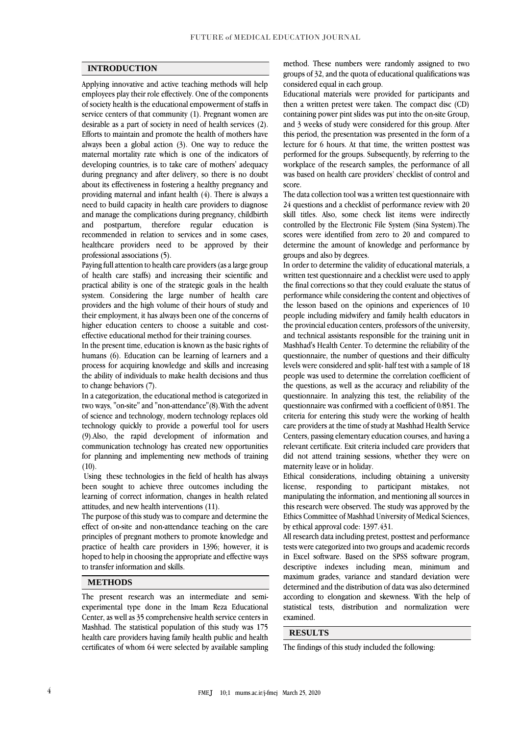### **INTRODUCTION**

Applying innovative and active teaching methods will help employees play their role effectively. One of the components of society health is the educational empowerment of staffs in service centers of that community [\(1\)](#page-3-0). Pregnant women are desirable as a part of society in need of health services [\(2\)](#page-3-1). Efforts to maintain and promote the health of mothers have always been a global action [\(3\)](#page-3-2). One way to reduce the maternal mortality rate which is one of the indicators of developing countries, is to take care of mothers' adequacy during pregnancy and after delivery, so there is no doubt about its effectiveness in fostering a healthy pregnancy and providing maternal and infant health [\(4\)](#page-3-3). There is always a need to build capacity in health care providers to diagnose and manage the complications during pregnancy, childbirth and postpartum, therefore regular education is recommended in relation to services and in some cases, healthcare providers need to be approved by their professional associations [\(5\)](#page-3-4).

Paying full attention to health care providers (as a large group of health care staffs) and increasing their scientific and practical ability is one of the strategic goals in the health system. Considering the large number of health care providers and the high volume of their hours of study and their employment, it has always been one of the concerns of higher education centers to choose a suitable and costeffective educational method for their training courses.

In the present time, education is known as the basic rights of humans [\(6\)](#page-3-5). Education can be learning of learners and a process for acquiring knowledge and skills and increasing the ability of individuals to make health decisions and thus to change behaviors [\(7\)](#page-3-6).

In a categorization, the educational method is categorized in two ways, "on-site" and "non-attendance"[\(8\)](#page-3-7).With the advent of science and technology, modern technology replaces old technology quickly to provide a powerful tool for users [\(9\)](#page-3-8).Also, the rapid development of information and communication technology has created new opportunities for planning and implementing new methods of training  $(10).$  $(10).$ 

Using these technologies in the field of health has always been sought to achieve three outcomes including the learning of correct information, changes in health related attitudes, and new health interventions [\(11\)](#page-3-10).

The purpose of this study was to compare and determine the effect of on-site and non-attendance teaching on the care principles of pregnant mothers to promote knowledge and practice of health care providers in 1396; however, it is hoped to help in choosing the appropriate and effective ways to transfer information and skills.

## **METHODS**

The present research was an intermediate and semiexperimental type done in the Imam Reza Educational Center, as well as 35 comprehensive health service centers in Mashhad. The statistical population of this study was 175 health care providers having family health public and health certificates of whom 64 were selected by available sampling

method. These numbers were randomly assigned to two groups of 32, and the quota of educational qualifications was considered equal in each group.

Educational materials were provided for participants and then a written pretest were taken. The compact disc (CD) containing power pint slides was put into the on-site Group, and 3 weeks of study were considered for this group. After this period, the presentation was presented in the form of a lecture for 6 hours. At that time, the written posttest was performed for the groups. Subsequently, by referring to the workplace of the research samples, the performance of all was based on health care providers' checklist of control and score.

The data collection tool was a written test questionnaire with 24 questions and a checklist of performance review with 20 skill titles. Also, some check list items were indirectly controlled by the Electronic File System (Sina System).The scores were identified from zero to 20 and compared to determine the amount of knowledge and performance by groups and also by degrees.

In order to determine the validity of educational materials, a written test questionnaire and a checklist were used to apply the final corrections so that they could evaluate the status of performance while considering the content and objectives of the lesson based on the opinions and experiences of 10 people including midwifery and family health educators in the provincial education centers, professors of the university, and technical assistants responsible for the training unit in Mashhad's Health Center. To determine the reliability of the questionnaire, the number of questions and their difficulty levels were considered and split- half test with a sample of 18 people was used to determine the correlation coefficient of the questions, as well as the accuracy and reliability of the questionnaire. In analyzing this test, the reliability of the questionnaire was confirmed with a coefficient of 0/851. The criteria for entering this study were the working of health care providers at the time of study at Mashhad Health Service Centers, passing elementary education courses, and having a relevant certificate. Exit criteria included care providers that did not attend training sessions, whether they were on maternity leave or in holiday.

Ethical considerations, including obtaining a university license, responding to participant mistakes, not manipulating the information, and mentioning all sources in this research were observed. The study was approved by the Ethics Committee of Mashhad University of Medical Sciences, by ethical approval code: 1397.431.

All research data including pretest, posttest and performance tests were categorized into two groups and academic records in Excel software. Based on the SPSS software program, descriptive indexes including mean, minimum and maximum grades, variance and standard deviation were determined and the distribution of data was also determined according to elongation and skewness. With the help of statistical tests, distribution and normalization were examined.

### **RESULTS**

The findings of this study included the following: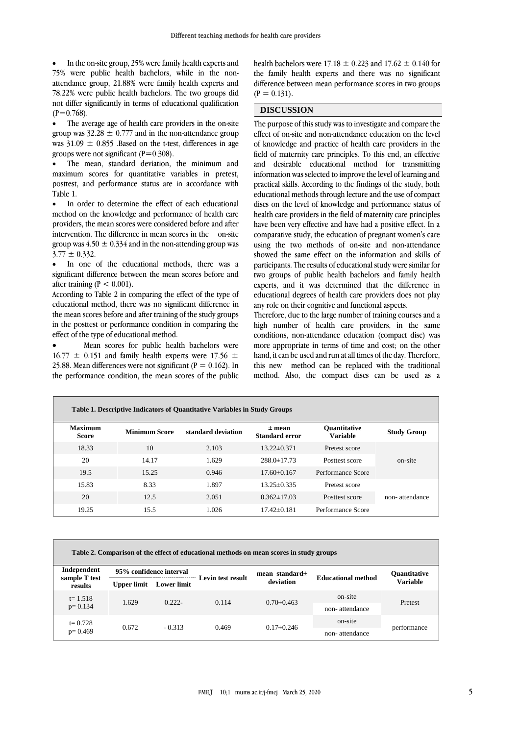In the on-site group, 25% were family health experts and 75% were public health bachelors, while in the nonattendance group, 21.88% were family health experts and 78.22% were public health bachelors. The two groups did not differ significantly in terms of educational qualification  $(P=0.768)$ .

 The average age of health care providers in the on-site group was  $32.28 \pm 0.777$  and in the non-attendance group was  $31.09 \pm 0.855$  .Based on the t-test, differences in age groups were not significant  $(P=0.308)$ .

 The mean, standard deviation, the minimum and maximum scores for quantitative variables in pretest, posttest, and performance status are in accordance with Table 1.

• In order to determine the effect of each educational method on the knowledge and performance of health care providers, the mean scores were considered before and after intervention. The difference in mean scores in the on-site group was  $4.50 \pm 0.334$  and in the non-attending group was  $3.77 \pm 0.332$ .

 In one of the educational methods, there was a significant difference between the mean scores before and after training ( $P < 0.001$ ).

According to Table 2 in comparing the effect of the type of educational method, there was no significant difference in the mean scores before and after training of the study groups in the posttest or performance condition in comparing the effect of the type of educational method.

 Mean scores for public health bachelors were  $16.77 \pm 0.151$  and family health experts were 17.56  $\pm$ 25.88. Mean differences were not significant ( $P = 0.162$ ). In the performance condition, the mean scores of the public health bachelors were 17.18  $\pm$  0.223 and 17.62  $\pm$  0.140 for the family health experts and there was no significant difference between mean performance scores in two groups  $(P = 0.131)$ .

## **DISCUSSION**

The purpose of this study was to investigate and compare the effect of on-site and non-attendance education on the level of knowledge and practice of health care providers in the field of maternity care principles. To this end, an effective and desirable educational method for transmitting information was selected to improve the level of learning and practical skills. According to the findings of the study, both educational methods through lecture and the use of compact discs on the level of knowledge and performance status of health care providers in the field of maternity care principles have been very effective and have had a positive effect. In a comparative study, the education of pregnant women's care using the two methods of on-site and non-attendance showed the same effect on the information and skills of participants. The results of educational study were similar for two groups of public health bachelors and family health experts, and it was determined that the difference in educational degrees of health care providers does not play any role on their cognitive and functional aspects.

Therefore, due to the large number of training courses and a high number of health care providers, in the same conditions, non-attendance education (compact disc) was more appropriate in terms of time and cost; on the other hand, it can be used and run at all times of the day. Therefore, this new method can be replaced with the traditional method. Also, the compact discs can be used as a

| Table 1. Descriptive Indicators of Quantitative Variables in Study Groups |                      |                    |                                   |                                        |                    |  |  |  |
|---------------------------------------------------------------------------|----------------------|--------------------|-----------------------------------|----------------------------------------|--------------------|--|--|--|
| Maximum<br><b>Score</b>                                                   | <b>Minimum Score</b> | standard deviation | $±$ mean<br><b>Standard error</b> | <b>Ouantitative</b><br><b>Variable</b> | <b>Study Group</b> |  |  |  |
| 18.33                                                                     | 10                   | 2.103              | $13.22 \pm 0.371$                 | Pretest score                          |                    |  |  |  |
| 20                                                                        | 14.17                | 1.629              | $288.0 \pm 17.73$                 | Posttest score                         | on-site            |  |  |  |
| 19.5                                                                      | 15.25                | 0.946              | $17.60\pm0.167$                   | Performance Score                      |                    |  |  |  |
| 15.83                                                                     | 8.33                 | 1.897              | $13.25 \pm 0.335$                 | Pretest score                          |                    |  |  |  |
| 20                                                                        | 12.5                 | 2.051              | $0.362 \pm 17.03$                 | Posttest score                         | non-attendance     |  |  |  |
| 19.25                                                                     | 15.5                 | 1.026              | $17.42\pm0.181$                   | Performance Score                      |                    |  |  |  |

|  |  | Table 2. Comparison of the effect of educational methods on mean scores in study groups |
|--|--|-----------------------------------------------------------------------------------------|
|  |  |                                                                                         |

| Independent<br>sample T test<br>results | 95% confidence interval |                    | Levin test result | mean standard $\pm$ | <b>Educational method</b> | <b>Ouantitative</b> |
|-----------------------------------------|-------------------------|--------------------|-------------------|---------------------|---------------------------|---------------------|
|                                         | <b>Upper limit</b>      | <b>Lower limit</b> |                   | deviation           |                           | <b>Variable</b>     |
| $t = 1.518$<br>$p = 0.134$              | 1.629                   | $0.222 -$          | 0.114             | $0.70 \pm 0.463$    | on-site                   | Pretest             |
|                                         |                         |                    |                   |                     | non-attendance            |                     |
| $t = 0.728$<br>$p=0.469$                |                         | 0.672<br>$-0.313$  | 0.469             | $0.17\pm0.246$      | on-site                   | performance         |
|                                         |                         |                    |                   |                     | non-attendance            |                     |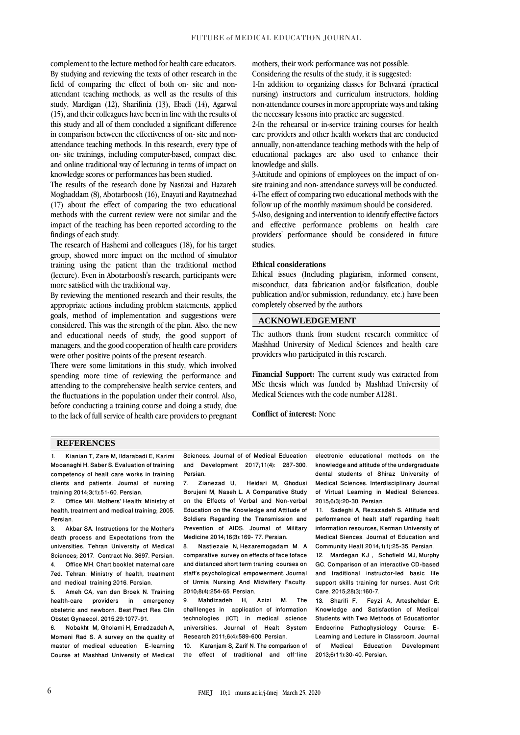complement to the lecture method for health care educators. By studying and reviewing the texts of other research in the field of comparing the effect of both on- site and nonattendant teaching methods, as well as the results of this study, Mardigan [\(12\)](#page-3-11), Sharifinia [\(13\)](#page-3-12), Ebadi [\(14\)](#page-4-0), Agarwal [\(15\)](#page-4-1), and their colleagues have been in line with the results of this study and all of them concluded a significant difference in comparison between the effectiveness of on- site and nonattendance teaching methods. In this research, every type of on- site trainings, including computer-based, compact disc, and online traditional way of lecturing in terms of impact on knowledge scores or performances has been studied.

The results of the research done by Nastizai and Hazareh Moghaddam [\(8\)](#page-3-7), Abotarboosh [\(16\)](#page-4-2), Enayati and Rayatnezhad [\(17\)](#page-4-3) about the effect of comparing the two educational methods with the current review were not similar and the impact of the teaching has been reported according to the findings of each study.

The research of Hashemi and colleagues [\(18\)](#page-4-4), for his target group, showed more impact on the method of simulator training using the patient than the traditional method (lecture). Even in Abotarboosh's research, participants were more satisfied with the traditional way.

By reviewing the mentioned research and their results, the appropriate actions including problem statements, applied goals, method of implementation and suggestions were considered. This was the strength of the plan. Also, the new and educational needs of study, the good support of managers, and the good cooperation of health care providers were other positive points of the present research.

There were some limitations in this study, which involved spending more time of reviewing the performance and attending to the comprehensive health service centers, and the fluctuations in the population under their control. Also, before conducting a training course and doing a study, due to the lack of full service of health care providers to pregnant mothers, their work performance was not possible. Considering the results of the study, it is suggested:

1-In addition to organizing classes for Behvarzi (practical nursing) instructors and curriculum instructors, holding non-attendance courses in more appropriate ways and taking the necessary lessons into practice are suggested.

2-In the rehearsal or in-service training courses for health care providers and other health workers that are conducted annually, non-attendance teaching methods with the help of educational packages are also used to enhance their knowledge and skills.

3-Attitude and opinions of employees on the impact of onsite training and non- attendance surveys will be conducted. 4-The effect of comparing two educational methods with the follow up of the monthly maximum should be considered.

5-Also, designing and intervention to identify effective factors and effective performance problems on health care providers' performance should be considered in future studies.

### **Ethical considerations**

Ethical issues (Including plagiarism, informed consent, misconduct, data fabrication and/or falsification, double publication and/or submission, redundancy, etc.) have been completely observed by the authors.

# **ACKNOWLEDGEMENT**

The authors thank from student research committee of Mashhad University of Medical Sciences and health care providers who participated in this research.

**Financial Support:** The current study was extracted from MSc thesis which was funded by Mashhad University of Medical Sciences with the code number A1281.

**Conflict of interest:** None

#### **REFERENCES**

<span id="page-3-0"></span>1. Kianian T, Zare M, Ildarabadi E, Karimi Mooanaghi H, Saber S. Evaluation of training competency of healt care works in training clients and patients. Journal of nursing training 2014;3(1):51-60. Persian.

<span id="page-3-1"></span>2. Office MH. Mothers' Health: Ministry of health, treatment and medical training; 2005. Persian.

<span id="page-3-2"></span>3. Akbar SA. Instructions for the Mother's death process and Expectations from the universities. Tehran University of Medical Sciences; 2017. Contract No. 3697. Persian. 4. Office MH. Chart booklet maternal care 7ed. Tehran: Ministry of health, treatment and medical training 2016. Persian.

<span id="page-3-4"></span><span id="page-3-3"></span>5. Ameh CA, van den Broek N. Training health-care providers in emergency obstetric and newborn. Best Pract Res Clin Obstet Gynaecol. 2015;29:1077-91.

<span id="page-3-5"></span>6. Nobakht M, Gholami H, Emadzadeh A, Momeni Rad S. A survey on the quality of master of medical education E-learning Course at Mashhad University of Medical

<span id="page-3-6"></span>Sciences. Journal of of Medical Education and Development 2017;11(4): 287-300. Persian.<br>7. Zia

Zianezad U, Heidari M, Ghodusi Borujeni M, Naseh L. A Comparative Study on the Effects of Verbal and Non-verbal Education on the Knowledge and Attitude of Soldiers Regarding the Transmission and Prevention of AIDS. Journal of Military Medicine 2014;16(3):169-77. Persian.<br>8. Nastiezaie N. Hezaremogadam

<span id="page-3-7"></span>8. Nastiezaie N, [Hezaremogadam M.](https://vlibrary.emro.who.int/searchd/?fauthor%5b%5d=308072&fauthor_title%5b%5d=Hezaremogadam%20%20M.&database=) A comparative survey on effects of face toface and distanced short term traning courses on staff's psychological empowerment. Journal of Urmia Nursing And Midwifery Faculty. 2010;8(4):254-65. Persian.<br>9 Mahdizadeh H.

<span id="page-3-8"></span>9. Mahdizadeh H, Azizi M. The challlenges in application of information technologies (ICT) in medical science universities. Journal of Healt System Research 2011;6(4):589-600. Persian.

10. Karanjam S, Zarif N. The comparison of<br>the effect of traditional and off-line effect of traditional and off-line <span id="page-3-9"></span>electronic educational methods on the knowledge and attitude of the undergraduate dental students of Shiraz University of Medical Sciences. Interdisciplinary Journal of Virtual Learning in Medical Sciences. 2015;6(3):20-30. Persian.

<span id="page-3-10"></span>11. Sadeghi A, Rezazadeh S. Attitude and performance of healt staff regarding healt information resources, Kerman University of Medical Siences. Journal of Education and Community Healt 2014;1(1):25-35. Persian.

<span id="page-3-11"></span>12. Mardegan KJ , [Schofield MJ,](https://www.ncbi.nlm.nih.gov/pubmed/?term=Schofield%20MJ%5BAuthor%5D&cauthor=true&cauthor_uid=25012764) [Murphy](https://www.ncbi.nlm.nih.gov/pubmed/?term=Murphy%20GC%5BAuthor%5D&cauthor=true&cauthor_uid=25012764)  [GC.](https://www.ncbi.nlm.nih.gov/pubmed/?term=Murphy%20GC%5BAuthor%5D&cauthor=true&cauthor_uid=25012764) Comparison of an interactive CD-based and traditional instructor-led basic life support skills training for nurses. Aust Crit Care. 2015;28(3):160-7.

<span id="page-3-12"></span>13. Sharifi F, [Feyzi A,](https://www.sid.ir/en/Journal/SearchPaper.aspx?writer=49411) Arteshehdar E. Knowledge and Satisfaction of Medical Students with Two Methods of Educationfor Endocrine Pathophysiology Course: E-Learning and Lecture in Classroom. Journal of Medical Education Development 2013;6(11):30-40. Persian.